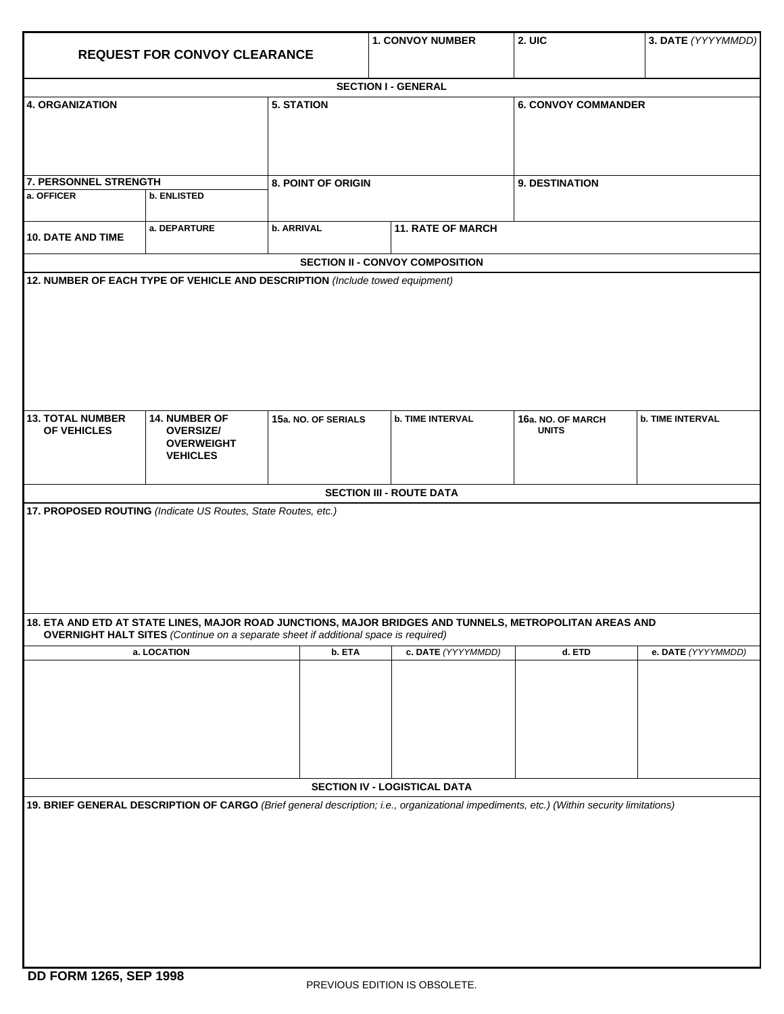| <b>REQUEST FOR CONVOY CLEARANCE</b>                           |                                                                                            |                     | <b>1. CONVOY NUMBER</b>                                                                                                                  | 2. UIC                            | 3. DATE (YYYYMMDD)      |  |  |  |  |  |
|---------------------------------------------------------------|--------------------------------------------------------------------------------------------|---------------------|------------------------------------------------------------------------------------------------------------------------------------------|-----------------------------------|-------------------------|--|--|--|--|--|
|                                                               |                                                                                            |                     |                                                                                                                                          |                                   |                         |  |  |  |  |  |
|                                                               |                                                                                            |                     | <b>SECTION I - GENERAL</b>                                                                                                               |                                   |                         |  |  |  |  |  |
| 4. ORGANIZATION                                               |                                                                                            | <b>5. STATION</b>   |                                                                                                                                          | <b>6. CONVOY COMMANDER</b>        |                         |  |  |  |  |  |
| 7. PERSONNEL STRENGTH                                         |                                                                                            | 8. POINT OF ORIGIN  |                                                                                                                                          |                                   | 9. DESTINATION          |  |  |  |  |  |
| a. OFFICER                                                    | <b>b. ENLISTED</b>                                                                         |                     |                                                                                                                                          |                                   |                         |  |  |  |  |  |
| <b>10. DATE AND TIME</b>                                      | a. DEPARTURE                                                                               | b. ARRIVAL          | <b>11. RATE OF MARCH</b>                                                                                                                 |                                   |                         |  |  |  |  |  |
|                                                               |                                                                                            |                     | <b>SECTION II - CONVOY COMPOSITION</b>                                                                                                   |                                   |                         |  |  |  |  |  |
|                                                               |                                                                                            |                     |                                                                                                                                          |                                   |                         |  |  |  |  |  |
| <b>13. TOTAL NUMBER</b><br>OF VEHICLES                        | 14. NUMBER OF<br><b>OVERSIZE/</b><br><b>OVERWEIGHT</b><br><b>VEHICLES</b>                  | 15a. NO. OF SERIALS | <b>b. TIME INTERVAL</b>                                                                                                                  | 16a. NO. OF MARCH<br><b>UNITS</b> | <b>b. TIME INTERVAL</b> |  |  |  |  |  |
|                                                               |                                                                                            |                     | <b>SECTION III - ROUTE DATA</b>                                                                                                          |                                   |                         |  |  |  |  |  |
| 17. PROPOSED ROUTING (Indicate US Routes, State Routes, etc.) |                                                                                            |                     |                                                                                                                                          |                                   |                         |  |  |  |  |  |
|                                                               | <b>OVERNIGHT HALT SITES</b> (Continue on a separate sheet if additional space is required) |                     | 18. ETA AND ETD AT STATE LINES, MAJOR ROAD JUNCTIONS, MAJOR BRIDGES AND TUNNELS, METROPOLITAN AREAS AND                                  |                                   |                         |  |  |  |  |  |
|                                                               | a. LOCATION                                                                                | b. ETA              | c. DATE (YYYYMMDD)                                                                                                                       | d. ETD                            | e. DATE (YYYYMMDD)      |  |  |  |  |  |
|                                                               |                                                                                            |                     |                                                                                                                                          |                                   |                         |  |  |  |  |  |
|                                                               |                                                                                            |                     | SECTION IV - LOGISTICAL DATA                                                                                                             |                                   |                         |  |  |  |  |  |
|                                                               |                                                                                            |                     | 19. BRIEF GENERAL DESCRIPTION OF CARGO (Brief general description; i.e., organizational impediments, etc.) (Within security limitations) |                                   |                         |  |  |  |  |  |